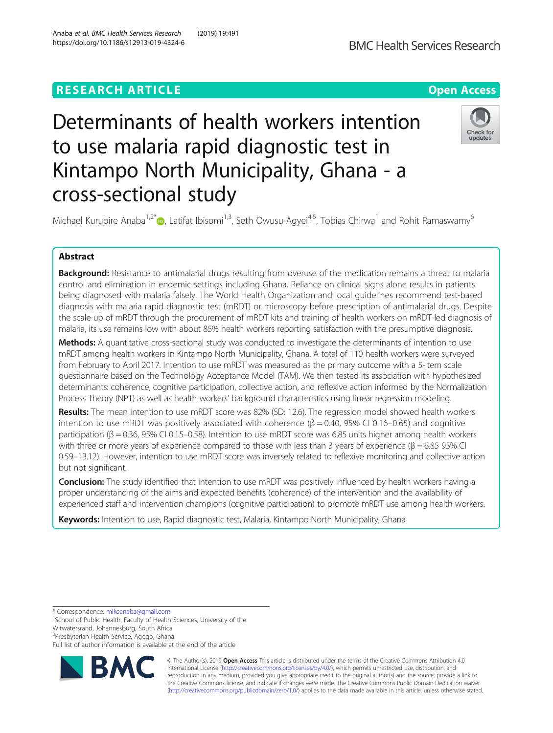Anaba et al. BMC Health Services Research (2019) 19:491



# Determinants of health workers intention to use malaria rapid diagnostic test in Kintampo North Municipality, Ghana - a cross-sectional study



Michael Kurubire Anaba<sup>1,2\*</sup> , Latifat Ibisomi<sup>1,3</sup>, Seth Owusu-Agyei<sup>4,5</sup>, Tobias Chirwa<sup>1</sup> and Rohit Ramaswamy<sup>6</sup>

# Abstract

Background: Resistance to antimalarial drugs resulting from overuse of the medication remains a threat to malaria control and elimination in endemic settings including Ghana. Reliance on clinical signs alone results in patients being diagnosed with malaria falsely. The World Health Organization and local guidelines recommend test-based diagnosis with malaria rapid diagnostic test (mRDT) or microscopy before prescription of antimalarial drugs. Despite the scale-up of mRDT through the procurement of mRDT kits and training of health workers on mRDT-led diagnosis of malaria, its use remains low with about 85% health workers reporting satisfaction with the presumptive diagnosis.

Methods: A quantitative cross-sectional study was conducted to investigate the determinants of intention to use mRDT among health workers in Kintampo North Municipality, Ghana. A total of 110 health workers were surveyed from February to April 2017. Intention to use mRDT was measured as the primary outcome with a 5-item scale questionnaire based on the Technology Acceptance Model (TAM). We then tested its association with hypothesized determinants: coherence, cognitive participation, collective action, and reflexive action informed by the Normalization Process Theory (NPT) as well as health workers' background characteristics using linear regression modeling.

Results: The mean intention to use mRDT score was 82% (SD: 12.6). The regression model showed health workers intention to use mRDT was positively associated with coherence ( $β = 0.40$ , 95% CI 0.16–0.65) and cognitive participation ( $β = 0.36$ , 95% CI 0.15–0.58). Intention to use mRDT score was 6.85 units higher among health workers with three or more years of experience compared to those with less than 3 years of experience ( $\beta$  = 6.85 95% CI 0.59–13.12). However, intention to use mRDT score was inversely related to reflexive monitoring and collective action but not significant.

Conclusion: The study identified that intention to use mRDT was positively influenced by health workers having a proper understanding of the aims and expected benefits (coherence) of the intervention and the availability of experienced staff and intervention champions (cognitive participation) to promote mRDT use among health workers.

Keywords: Intention to use, Rapid diagnostic test, Malaria, Kintampo North Municipality, Ghana

\* Correspondence: [mikeanaba@gmail.com](mailto:mikeanaba@gmail.com) <sup>1</sup>

<sup>1</sup>School of Public Health, Faculty of Health Sciences, University of the Witwatersrand, Johannesburg, South Africa

2 Presbyterian Health Service, Agogo, Ghana

Full list of author information is available at the end of the article



© The Author(s). 2019 **Open Access** This article is distributed under the terms of the Creative Commons Attribution 4.0 International License [\(http://creativecommons.org/licenses/by/4.0/](http://creativecommons.org/licenses/by/4.0/)), which permits unrestricted use, distribution, and reproduction in any medium, provided you give appropriate credit to the original author(s) and the source, provide a link to the Creative Commons license, and indicate if changes were made. The Creative Commons Public Domain Dedication waiver [\(http://creativecommons.org/publicdomain/zero/1.0/](http://creativecommons.org/publicdomain/zero/1.0/)) applies to the data made available in this article, unless otherwise stated.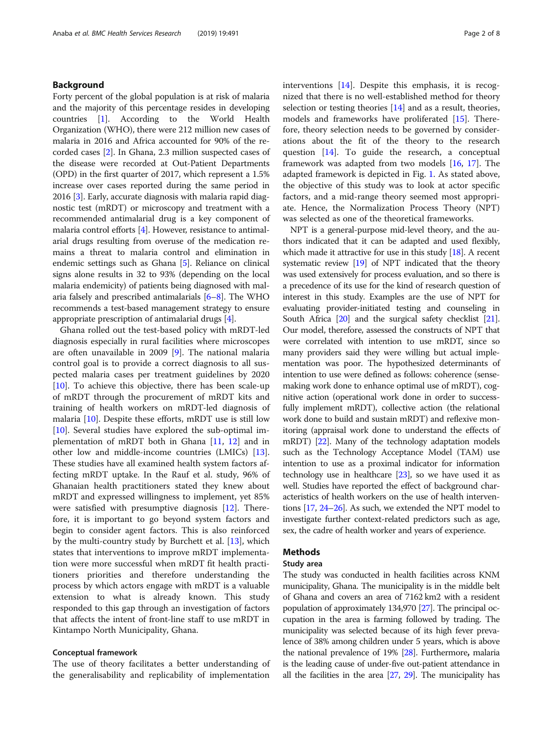## Background

Forty percent of the global population is at risk of malaria and the majority of this percentage resides in developing countries [\[1](#page-6-0)]. According to the World Health Organization (WHO), there were 212 million new cases of malaria in 2016 and Africa accounted for 90% of the recorded cases [\[2\]](#page-6-0). In Ghana, 2.3 million suspected cases of the disease were recorded at Out-Patient Departments (OPD) in the first quarter of 2017, which represent a 1.5% increase over cases reported during the same period in 2016 [[3\]](#page-6-0). Early, accurate diagnosis with malaria rapid diagnostic test (mRDT) or microscopy and treatment with a recommended antimalarial drug is a key component of malaria control efforts [[4](#page-6-0)]. However, resistance to antimalarial drugs resulting from overuse of the medication remains a threat to malaria control and elimination in endemic settings such as Ghana [[5](#page-6-0)]. Reliance on clinical signs alone results in 32 to 93% (depending on the local malaria endemicity) of patients being diagnosed with malaria falsely and prescribed antimalarials [\[6](#page-6-0)–[8\]](#page-6-0). The WHO recommends a test-based management strategy to ensure appropriate prescription of antimalarial drugs [\[4](#page-6-0)].

Ghana rolled out the test-based policy with mRDT-led diagnosis especially in rural facilities where microscopes are often unavailable in 2009 [[9\]](#page-6-0). The national malaria control goal is to provide a correct diagnosis to all suspected malaria cases per treatment guidelines by 2020  $[10]$  $[10]$ . To achieve this objective, there has been scale-up of mRDT through the procurement of mRDT kits and training of health workers on mRDT-led diagnosis of malaria [\[10](#page-6-0)]. Despite these efforts, mRDT use is still low [[10\]](#page-6-0). Several studies have explored the sub-optimal implementation of mRDT both in Ghana [\[11](#page-6-0), [12\]](#page-6-0) and in other low and middle-income countries (LMICs) [\[13](#page-6-0)]. These studies have all examined health system factors affecting mRDT uptake. In the Rauf et al. study, 96% of Ghanaian health practitioners stated they knew about mRDT and expressed willingness to implement, yet 85% were satisfied with presumptive diagnosis [[12](#page-6-0)]. Therefore, it is important to go beyond system factors and begin to consider agent factors. This is also reinforced by the multi-country study by Burchett et al. [[13\]](#page-6-0), which states that interventions to improve mRDT implementation were more successful when mRDT fit health practitioners priorities and therefore understanding the process by which actors engage with mRDT is a valuable extension to what is already known. This study responded to this gap through an investigation of factors that affects the intent of front-line staff to use mRDT in Kintampo North Municipality, Ghana.

## Conceptual framework

The use of theory facilitates a better understanding of the generalisability and replicability of implementation interventions [\[14](#page-6-0)]. Despite this emphasis, it is recognized that there is no well-established method for theory selection or testing theories [[14](#page-6-0)] and as a result, theories, models and frameworks have proliferated [[15](#page-6-0)]. Therefore, theory selection needs to be governed by considerations about the fit of the theory to the research question [[14\]](#page-6-0). To guide the research, a conceptual framework was adapted from two models [\[16](#page-6-0), [17](#page-7-0)]. The adapted framework is depicted in Fig. [1.](#page-2-0) As stated above, the objective of this study was to look at actor specific factors, and a mid-range theory seemed most appropriate. Hence, the Normalization Process Theory (NPT) was selected as one of the theoretical frameworks.

NPT is a general-purpose mid-level theory, and the authors indicated that it can be adapted and used flexibly, which made it attractive for use in this study [\[18](#page-7-0)]. A recent systematic review [\[19\]](#page-7-0) of NPT indicated that the theory was used extensively for process evaluation, and so there is a precedence of its use for the kind of research question of interest in this study. Examples are the use of NPT for evaluating provider-initiated testing and counseling in South Africa [[20](#page-7-0)] and the surgical safety checklist [[21](#page-7-0)]. Our model, therefore, assessed the constructs of NPT that were correlated with intention to use mRDT, since so many providers said they were willing but actual implementation was poor. The hypothesized determinants of intention to use were defined as follows: coherence (sensemaking work done to enhance optimal use of mRDT), cognitive action (operational work done in order to successfully implement mRDT), collective action (the relational work done to build and sustain mRDT) and reflexive monitoring (appraisal work done to understand the effects of mRDT) [\[22\]](#page-7-0). Many of the technology adaptation models such as the Technology Acceptance Model (TAM) use intention to use as a proximal indicator for information technology use in healthcare  $[23]$ , so we have used it as well. Studies have reported the effect of background characteristics of health workers on the use of health interventions [[17](#page-7-0), [24](#page-7-0)–[26](#page-7-0)]. As such, we extended the NPT model to investigate further context-related predictors such as age, sex, the cadre of health worker and years of experience.

# Methods

# Study area

The study was conducted in health facilities across KNM municipality, Ghana. The municipality is in the middle belt of Ghana and covers an area of 7162 km2 with a resident population of approximately 134,970 [\[27](#page-7-0)]. The principal occupation in the area is farming followed by trading. The municipality was selected because of its high fever prevalence of 38% among children under 5 years, which is above the national prevalence of 19% [\[28\]](#page-7-0). Furthermore, malaria is the leading cause of under-five out-patient attendance in all the facilities in the area  $[27, 29]$  $[27, 29]$  $[27, 29]$ . The municipality has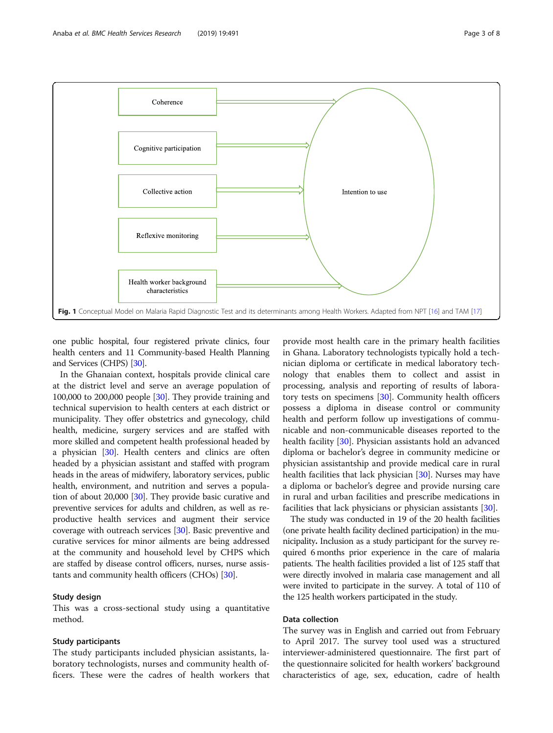<span id="page-2-0"></span>

one public hospital, four registered private clinics, four health centers and 11 Community-based Health Planning and Services (CHPS) [[30\]](#page-7-0).

In the Ghanaian context, hospitals provide clinical care at the district level and serve an average population of 100,000 to 200,000 people [[30](#page-7-0)]. They provide training and technical supervision to health centers at each district or municipality. They offer obstetrics and gynecology, child health, medicine, surgery services and are staffed with more skilled and competent health professional headed by a physician [[30\]](#page-7-0). Health centers and clinics are often headed by a physician assistant and staffed with program heads in the areas of midwifery, laboratory services, public health, environment, and nutrition and serves a population of about 20,000 [\[30\]](#page-7-0). They provide basic curative and preventive services for adults and children, as well as reproductive health services and augment their service coverage with outreach services [\[30\]](#page-7-0). Basic preventive and curative services for minor ailments are being addressed at the community and household level by CHPS which are staffed by disease control officers, nurses, nurse assistants and community health officers (CHOs) [\[30\]](#page-7-0).

## Study design

This was a cross-sectional study using a quantitative method.

## Study participants

The study participants included physician assistants, laboratory technologists, nurses and community health officers. These were the cadres of health workers that

provide most health care in the primary health facilities in Ghana. Laboratory technologists typically hold a technician diploma or certificate in medical laboratory technology that enables them to collect and assist in processing, analysis and reporting of results of laboratory tests on specimens [\[30](#page-7-0)]. Community health officers possess a diploma in disease control or community health and perform follow up investigations of communicable and non-communicable diseases reported to the health facility [[30\]](#page-7-0). Physician assistants hold an advanced diploma or bachelor's degree in community medicine or physician assistantship and provide medical care in rural health facilities that lack physician [[30\]](#page-7-0). Nurses may have a diploma or bachelor's degree and provide nursing care in rural and urban facilities and prescribe medications in facilities that lack physicians or physician assistants [\[30\]](#page-7-0).

The study was conducted in 19 of the 20 health facilities (one private health facility declined participation) in the municipality. Inclusion as a study participant for the survey required 6 months prior experience in the care of malaria patients. The health facilities provided a list of 125 staff that were directly involved in malaria case management and all were invited to participate in the survey. A total of 110 of the 125 health workers participated in the study.

## Data collection

The survey was in English and carried out from February to April 2017. The survey tool used was a structured interviewer-administered questionnaire. The first part of the questionnaire solicited for health workers' background characteristics of age, sex, education, cadre of health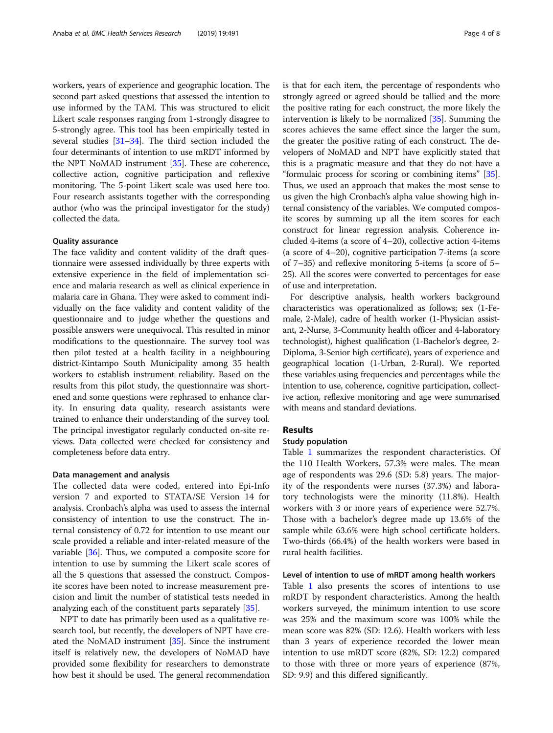workers, years of experience and geographic location. The second part asked questions that assessed the intention to use informed by the TAM. This was structured to elicit Likert scale responses ranging from 1-strongly disagree to 5-strongly agree. This tool has been empirically tested in several studies [[31](#page-7-0)–[34\]](#page-7-0). The third section included the four determinants of intention to use mRDT informed by the NPT NoMAD instrument [[35\]](#page-7-0). These are coherence, collective action, cognitive participation and reflexive monitoring. The 5-point Likert scale was used here too. Four research assistants together with the corresponding author (who was the principal investigator for the study) collected the data.

### Quality assurance

The face validity and content validity of the draft questionnaire were assessed individually by three experts with extensive experience in the field of implementation science and malaria research as well as clinical experience in malaria care in Ghana. They were asked to comment individually on the face validity and content validity of the questionnaire and to judge whether the questions and possible answers were unequivocal. This resulted in minor modifications to the questionnaire. The survey tool was then pilot tested at a health facility in a neighbouring district-Kintampo South Municipality among 35 health workers to establish instrument reliability. Based on the results from this pilot study, the questionnaire was shortened and some questions were rephrased to enhance clarity. In ensuring data quality, research assistants were trained to enhance their understanding of the survey tool. The principal investigator regularly conducted on-site reviews. Data collected were checked for consistency and completeness before data entry.

#### Data management and analysis

The collected data were coded, entered into Epi-Info version 7 and exported to STATA/SE Version 14 for analysis. Cronbach's alpha was used to assess the internal consistency of intention to use the construct. The internal consistency of 0.72 for intention to use meant our scale provided a reliable and inter-related measure of the variable [\[36\]](#page-7-0). Thus, we computed a composite score for intention to use by summing the Likert scale scores of all the 5 questions that assessed the construct. Composite scores have been noted to increase measurement precision and limit the number of statistical tests needed in analyzing each of the constituent parts separately [[35\]](#page-7-0).

NPT to date has primarily been used as a qualitative research tool, but recently, the developers of NPT have created the NoMAD instrument [\[35\]](#page-7-0). Since the instrument itself is relatively new, the developers of NoMAD have provided some flexibility for researchers to demonstrate how best it should be used. The general recommendation is that for each item, the percentage of respondents who strongly agreed or agreed should be tallied and the more the positive rating for each construct, the more likely the intervention is likely to be normalized [[35](#page-7-0)]. Summing the scores achieves the same effect since the larger the sum, the greater the positive rating of each construct. The developers of NoMAD and NPT have explicitly stated that this is a pragmatic measure and that they do not have a "formulaic process for scoring or combining items" [[35](#page-7-0)]. Thus, we used an approach that makes the most sense to us given the high Cronbach's alpha value showing high internal consistency of the variables. We computed composite scores by summing up all the item scores for each construct for linear regression analysis. Coherence included 4-items (a score of 4–20), collective action 4-items (a score of 4–20), cognitive participation 7-items (a score of 7–35) and reflexive monitoring 5-items (a score of 5– 25). All the scores were converted to percentages for ease of use and interpretation.

For descriptive analysis, health workers background characteristics was operationalized as follows; sex (1-Female, 2-Male), cadre of health worker (1-Physician assistant, 2-Nurse, 3-Community health officer and 4-laboratory technologist), highest qualification (1-Bachelor's degree, 2- Diploma, 3-Senior high certificate), years of experience and geographical location (1-Urban, 2-Rural). We reported these variables using frequencies and percentages while the intention to use, coherence, cognitive participation, collective action, reflexive monitoring and age were summarised with means and standard deviations.

# Results

## Study population

Table [1](#page-4-0) summarizes the respondent characteristics. Of the 110 Health Workers, 57.3% were males. The mean age of respondents was 29.6 (SD: 5.8) years. The majority of the respondents were nurses (37.3%) and laboratory technologists were the minority (11.8%). Health workers with 3 or more years of experience were 52.7%. Those with a bachelor's degree made up 13.6% of the sample while 63.6% were high school certificate holders. Two-thirds (66.4%) of the health workers were based in rural health facilities.

## Level of intention to use of mRDT among health workers

Table [1](#page-4-0) also presents the scores of intentions to use mRDT by respondent characteristics. Among the health workers surveyed, the minimum intention to use score was 25% and the maximum score was 100% while the mean score was 82% (SD: 12.6). Health workers with less than 3 years of experience recorded the lower mean intention to use mRDT score (82%, SD: 12.2) compared to those with three or more years of experience (87%, SD: 9.9) and this differed significantly.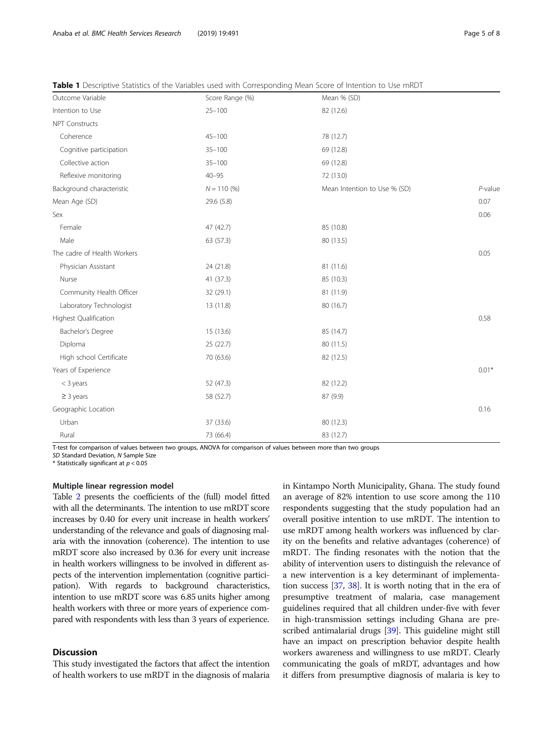<span id="page-4-0"></span>

| Table 1 Descriptive Statistics of the Variables used with Corresponding Mean Score of Intention to Use mRDT |                 |                              |            |
|-------------------------------------------------------------------------------------------------------------|-----------------|------------------------------|------------|
| Outcome Variable                                                                                            | Score Range (%) | Mean % (SD)                  |            |
| Intention to Use                                                                                            | $25 - 100$      | 82 (12.6)                    |            |
| <b>NPT Constructs</b>                                                                                       |                 |                              |            |
| Coherence                                                                                                   | $45 - 100$      | 78 (12.7)                    |            |
| Cognitive participation                                                                                     | $35 - 100$      | 69 (12.8)                    |            |
| Collective action                                                                                           | $35 - 100$      | 69 (12.8)                    |            |
| Reflexive monitoring                                                                                        | $40 - 95$       | 72 (13.0)                    |            |
| Background characteristic                                                                                   | $N = 110(%)$    | Mean Intention to Use % (SD) | $P$ -value |
| Mean Age (SD)                                                                                               | 29.6 (5.8)      |                              | 0.07       |
| Sex                                                                                                         |                 |                              | 0.06       |
| Female                                                                                                      | 47 (42.7)       | 85 (10.8)                    |            |
| Male                                                                                                        | 63 (57.3)       | 80 (13.5)                    |            |
| The cadre of Health Workers                                                                                 |                 |                              | 0.05       |
| Physician Assistant                                                                                         | 24 (21.8)       | 81 (11.6)                    |            |
| Nurse                                                                                                       | 41 (37.3)       | 85 (10.3)                    |            |
| Community Health Officer                                                                                    | 32 (29.1)       | 81 (11.9)                    |            |
| Laboratory Technologist                                                                                     | 13(11.8)        | 80 (16.7)                    |            |
| Highest Qualification                                                                                       |                 |                              | 0.58       |
| Bachelor's Degree                                                                                           | 15(13.6)        | 85 (14.7)                    |            |
| Diploma                                                                                                     | 25(22.7)        | 80 (11.5)                    |            |
| High school Certificate                                                                                     | 70 (63.6)       | 82 (12.5)                    |            |
| Years of Experience                                                                                         |                 |                              | $0.01*$    |
| $<$ 3 years                                                                                                 | 52 (47.3)       | 82 (12.2)                    |            |
| $\geq$ 3 years                                                                                              | 58 (52.7)       | 87 (9.9)                     |            |
| Geographic Location                                                                                         |                 |                              | 0.16       |

T-test for comparison of values between two groups, ANOVA for comparison of values between more than two groups

Urban 37 (33.6) 80 (12.3) Rural 83 (12.7) 83 (12.7)

SD Standard Deviation, N Sample Size

\* Statistically significant at  $p < 0.05$ 

#### Multiple linear regression model

Table [2](#page-5-0) presents the coefficients of the (full) model fitted with all the determinants. The intention to use mRDT score increases by 0.40 for every unit increase in health workers' understanding of the relevance and goals of diagnosing malaria with the innovation (coherence). The intention to use mRDT score also increased by 0.36 for every unit increase in health workers willingness to be involved in different aspects of the intervention implementation (cognitive participation). With regards to background characteristics, intention to use mRDT score was 6.85 units higher among health workers with three or more years of experience compared with respondents with less than 3 years of experience.

# **Discussion**

This study investigated the factors that affect the intention of health workers to use mRDT in the diagnosis of malaria in Kintampo North Municipality, Ghana. The study found an average of 82% intention to use score among the 110 respondents suggesting that the study population had an overall positive intention to use mRDT. The intention to use mRDT among health workers was influenced by clarity on the benefits and relative advantages (coherence) of mRDT. The finding resonates with the notion that the ability of intervention users to distinguish the relevance of a new intervention is a key determinant of implementation success [[37](#page-7-0), [38\]](#page-7-0). It is worth noting that in the era of presumptive treatment of malaria, case management guidelines required that all children under-five with fever in high-transmission settings including Ghana are prescribed antimalarial drugs [\[39\]](#page-7-0). This guideline might still have an impact on prescription behavior despite health workers awareness and willingness to use mRDT. Clearly communicating the goals of mRDT, advantages and how it differs from presumptive diagnosis of malaria is key to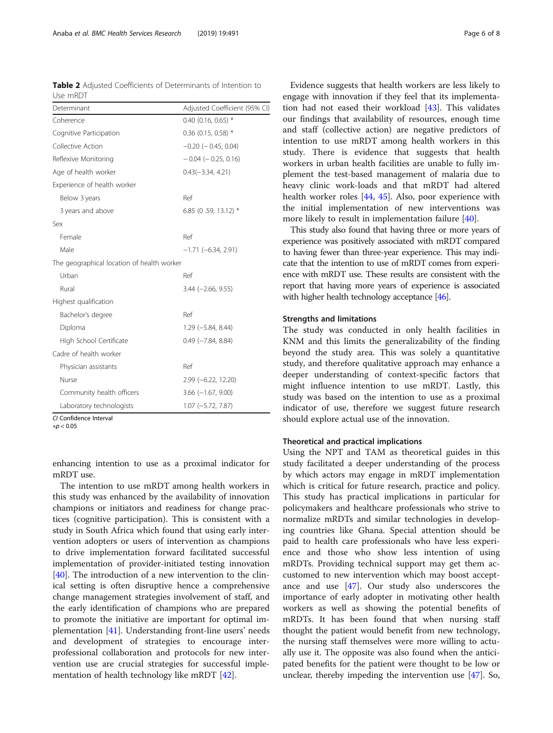<span id="page-5-0"></span>Table 2 Adjusted Coefficients of Determinants of Intention to Use mRDT

| Adjusted Coefficient (95% CI)              |  |
|--------------------------------------------|--|
| $0.40$ (0.16, 0.65) *                      |  |
| $0.36$ (0.15, 0.58) *                      |  |
| $-0.20$ ( $-0.45$ , 0.04)                  |  |
| $-0.04$ ( $-0.25$ , 0.16)                  |  |
| $0.43(-3.34, 4.21)$                        |  |
|                                            |  |
| Ref                                        |  |
| 6.85 (0.59, 13.12) *                       |  |
|                                            |  |
| Ref                                        |  |
| $-1.71 (-6.34, 2.91)$                      |  |
| The geographical location of health worker |  |
| Ref                                        |  |
| $3.44 (-2.66, 9.55)$                       |  |
|                                            |  |
| Ref                                        |  |
| $1.29(-5.84, 8.44)$                        |  |
| $0.49$ ( $-7.84$ , 8.84)                   |  |
|                                            |  |
| Ref                                        |  |
| 2.99 (-6.22, 12.20)                        |  |
| $3.66$ ( $-1.67$ , $9.00$ )                |  |
| $1.07 (-5.72, 7.87)$                       |  |
|                                            |  |

CI Confidence Interval

∗p < 0.05

enhancing intention to use as a proximal indicator for mRDT use.

The intention to use mRDT among health workers in this study was enhanced by the availability of innovation champions or initiators and readiness for change practices (cognitive participation). This is consistent with a study in South Africa which found that using early intervention adopters or users of intervention as champions to drive implementation forward facilitated successful implementation of provider-initiated testing innovation [[40\]](#page-7-0). The introduction of a new intervention to the clinical setting is often disruptive hence a comprehensive change management strategies involvement of staff, and the early identification of champions who are prepared to promote the initiative are important for optimal implementation [\[41\]](#page-7-0). Understanding front-line users' needs and development of strategies to encourage interprofessional collaboration and protocols for new intervention use are crucial strategies for successful implementation of health technology like mRDT [[42\]](#page-7-0).

Evidence suggests that health workers are less likely to engage with innovation if they feel that its implementation had not eased their workload [[43\]](#page-7-0). This validates our findings that availability of resources, enough time and staff (collective action) are negative predictors of intention to use mRDT among health workers in this study. There is evidence that suggests that health workers in urban health facilities are unable to fully implement the test-based management of malaria due to heavy clinic work-loads and that mRDT had altered health worker roles [\[44,](#page-7-0) [45](#page-7-0)]. Also, poor experience with the initial implementation of new interventions was more likely to result in implementation failure [[40\]](#page-7-0).

This study also found that having three or more years of experience was positively associated with mRDT compared to having fewer than three-year experience. This may indicate that the intention to use of mRDT comes from experience with mRDT use. These results are consistent with the report that having more years of experience is associated with higher health technology acceptance [\[46\]](#page-7-0).

## Strengths and limitations

The study was conducted in only health facilities in KNM and this limits the generalizability of the finding beyond the study area. This was solely a quantitative study, and therefore qualitative approach may enhance a deeper understanding of context-specific factors that might influence intention to use mRDT. Lastly, this study was based on the intention to use as a proximal indicator of use, therefore we suggest future research should explore actual use of the innovation.

## Theoretical and practical implications

Using the NPT and TAM as theoretical guides in this study facilitated a deeper understanding of the process by which actors may engage in mRDT implementation which is critical for future research, practice and policy. This study has practical implications in particular for policymakers and healthcare professionals who strive to normalize mRDTs and similar technologies in developing countries like Ghana. Special attention should be paid to health care professionals who have less experience and those who show less intention of using mRDTs. Providing technical support may get them accustomed to new intervention which may boost acceptance and use  $[47]$  $[47]$  $[47]$ . Our study also underscores the importance of early adopter in motivating other health workers as well as showing the potential benefits of mRDTs. It has been found that when nursing staff thought the patient would benefit from new technology, the nursing staff themselves were more willing to actually use it. The opposite was also found when the anticipated benefits for the patient were thought to be low or unclear, thereby impeding the intervention use  $[47]$  $[47]$ . So,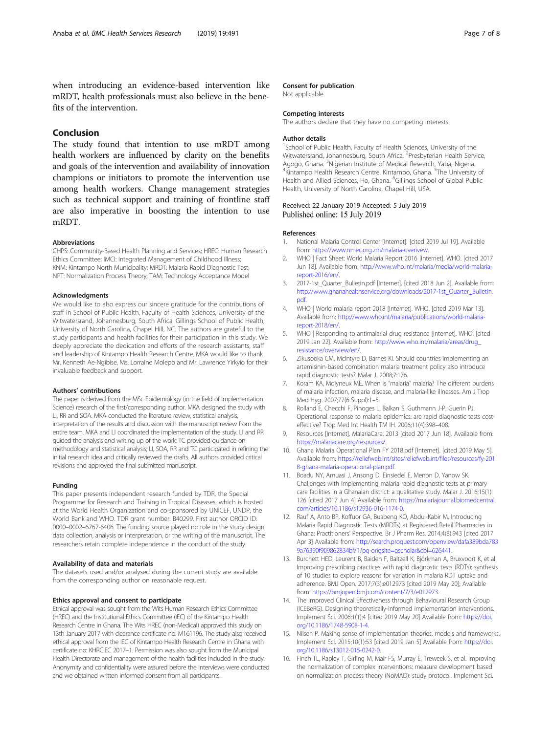## <span id="page-6-0"></span>Conclusion

The study found that intention to use mRDT among health workers are influenced by clarity on the benefits and goals of the intervention and availability of innovation champions or initiators to promote the intervention use among health workers. Change management strategies such as technical support and training of frontline staff are also imperative in boosting the intention to use mRDT.

#### Abbreviations

CHPS: Community-Based Health Planning and Services; HREC: Human Research Ethics Committee; IMCI: Integrated Management of Childhood Illness; KNM: Kintampo North Municipality; MRDT: Malaria Rapid Diagnostic Test; NPT: Normalization Process Theory; TAM: Technology Acceptance Model

#### Acknowledgments

We would like to also express our sincere gratitude for the contributions of staff in School of Public Health, Faculty of Health Sciences, University of the Witwatersrand, Johannesburg, South Africa, Gillings School of Public Health, University of North Carolina, Chapel Hill, NC. The authors are grateful to the study participants and health facilities for their participation in this study. We deeply appreciate the dedication and efforts of the research assistants, staff and leadership of Kintampo Health Research Centre. MKA would like to thank Mr. Kenneth Ae-Ngibise, Ms. Lorraine Molepo and Mr. Lawrence Yirkyio for their invaluable feedback and support.

#### Authors' contributions

The paper is derived from the MSc Epidemiology (in the field of Implementation Science) research of the first/corresponding author. MKA designed the study with LI, RR and SOA. MKA conducted the literature review, statistical analysis, interpretation of the results and discussion with the manuscript review from the entire team. MKA and LI coordinated the implementation of the study. LI and RR guided the analysis and writing up of the work; TC provided guidance on methodology and statistical analysis; LI, SOA, RR and TC participated in refining the initial research idea and critically reviewed the drafts. All authors provided critical revisions and approved the final submitted manuscript.

#### Funding

This paper presents independent research funded by TDR, the Special Programme for Research and Training in Tropical Diseases, which is hosted at the World Health Organization and co-sponsored by UNICEF, UNDP, the World Bank and WHO. TDR grant number: B40299. First author ORCID ID: 0000–0002–6767-6406. The funding source played no role in the study design, data collection, analysis or interpretation, or the writing of the manuscript. The researchers retain complete independence in the conduct of the study.

#### Availability of data and materials

The datasets used and/or analysed during the current study are available from the corresponding author on reasonable request.

#### Ethics approval and consent to participate

Ethical approval was sought from the Wits Human Research Ethics Committee (HREC) and the Institutional Ethics Committee (IEC) of the Kintampo Health Research Centre in Ghana. The Wits HREC (non-Medical) approved this study on 13th January 2017 with clearance certificate no: M161196. The study also received ethical approval from the IEC of Kintampo Health Research Centre in Ghana with certificate no: KHRCIEC 2017–1. Permission was also sought from the Municipal Health Directorate and management of the health facilities included in the study. Anonymity and confidentiality were assured before the interviews were conducted and we obtained written informed consent from all participants.

## Consent for publication

Not applicable.

#### Competing interests

The authors declare that they have no competing interests.

#### Author details

<sup>1</sup>School of Public Health, Faculty of Health Sciences, University of the Witwatersrand, Johannesburg, South Africa. <sup>2</sup>Presbyterian Health Service, Agogo, Ghana. <sup>3</sup>Nigerian Institute of Medical Research, Yaba, Nigeria.<br><sup>4</sup>Kintampo Hoalth Research Contre, Kintampo, Ghana. <sup>5</sup>The University Kintampo Health Research Centre, Kintampo, Ghana. <sup>5</sup>The University of Health and Allied Sciences, Ho, Ghana. <sup>6</sup>Gillings School of Global Public Health, University of North Carolina, Chapel Hill, USA.

#### Received: 22 January 2019 Accepted: 5 July 2019 Published online: 15 July 2019

#### References

- 1. National Malaria Control Center [Internet]. [cited 2019 Jul 19]. Available from: <https://www.nmec.org.zm/malaria-overivew>.
- 2. WHO | Fact Sheet: World Malaria Report 2016 [Internet]. WHO. [cited 2017 Jun 18]. Available from: [http://www.who.int/malaria/media/world-malaria](http://www.who.int/malaria/media/world-malaria-report-2016/en/)[report-2016/en/.](http://www.who.int/malaria/media/world-malaria-report-2016/en/)
- 3. 2017-1st\_Quarter\_Bulletin.pdf [Internet]. [cited 2018 Jun 2]. Available from: [http://www.ghanahealthservice.org/downloads/2017-1st\\_Quarter\\_Bulletin.](http://www.ghanahealthservice.org/downloads/2017-1st_Quarter_Bulletin.pdf) [pdf](http://www.ghanahealthservice.org/downloads/2017-1st_Quarter_Bulletin.pdf).
- 4. WHO | World malaria report 2018 [Internet]. WHO. [cited 2019 Mar 13]. Available from: [http://www.who.int/malaria/publications/world-malaria](http://www.who.int/malaria/publications/world-malaria-report-2018/en/)[report-2018/en/.](http://www.who.int/malaria/publications/world-malaria-report-2018/en/)
- 5. WHO | Responding to antimalarial drug resistance [Internet]. WHO. [cited 2019 Jan 22]. Available from: [http://www.who.int/malaria/areas/drug\\_](http://www.who.int/malaria/areas/drug_resistance/overview/en/) [resistance/overview/en/.](http://www.who.int/malaria/areas/drug_resistance/overview/en/)
- 6. Zikusooka CM, McIntyre D, Barnes KI. Should countries implementing an artemisinin-based combination malaria treatment policy also introduce rapid diagnostic tests? Malar J. 2008;7:176.
- 7. Koram KA, Molyneux ME. When is "malaria" malaria? The different burdens of malaria infection, malaria disease, and malaria-like illnesses. Am J Trop Med Hyg. 2007;77(6 Suppl):1–5.
- 8. Rolland E, Checchi F, Pinoges L, Balkan S, Guthmann J-P, Guerin PJ. Operational response to malaria epidemics: are rapid diagnostic tests costeffective? Trop Med Int Health TM IH. 2006;11(4):398–408.
- 9. Resources [Internet]. MalariaCare. 2013 [cited 2017 Jun 18]. Available from: <https://malariacare.org/resources/>.
- 10. Ghana Malaria Operational Plan FY 2018.pdf [Internet]. [cited 2019 May 5]. Available from: [https://reliefweb.int/sites/reliefweb.int/files/resources/fy-201](https://reliefweb.int/sites/reliefweb.int/files/resources/fy-2018-ghana-malaria-operational-plan.pdf) [8-ghana-malaria-operational-plan.pdf.](https://reliefweb.int/sites/reliefweb.int/files/resources/fy-2018-ghana-malaria-operational-plan.pdf)
- 11. Boadu NY, Amuasi J, Ansong D, Einsiedel E, Menon D, Yanow SK. Challenges with implementing malaria rapid diagnostic tests at primary care facilities in a Ghanaian district: a qualitative study. Malar J. 2016;15(1): 126 [cited 2017 Jun 4] Available from: [https://malariajournal.biomedcentral.](https://malariajournal.biomedcentral.com/articles/10.1186/s12936-016-1174-0) [com/articles/10.1186/s12936-016-1174-0](https://malariajournal.biomedcentral.com/articles/10.1186/s12936-016-1174-0).
- 12. Rauf A, Anto BP, Koffuor GA, Buabeng KO, Abdul-Kabir M. Introducing Malaria Rapid Diagnostic Tests (MRDTs) at Registered Retail Pharmacies in Ghana: Practitioners' Perspective. Br J Pharm Res. 2014;4(8):943 [cited 2017 Apr 3] Available from: [http://search.proquest.com/openview/dafa389bda783](http://search.proquest.com/openview/dafa389bda7839a76390f909862834bf/1?pq-origsite=gscholar&cbl=626441) [9a76390f909862834bf/1?pq-origsite=gscholar&cbl=626441](http://search.proquest.com/openview/dafa389bda7839a76390f909862834bf/1?pq-origsite=gscholar&cbl=626441).
- 13. Burchett HED, Leurent B, Baiden F, Baltzell K, Björkman A, Bruxvoort K, et al. Improving prescribing practices with rapid diagnostic tests (RDTs): synthesis of 10 studies to explore reasons for variation in malaria RDT uptake and adherence. BMJ Open. 2017;7(3):e012973 [cited 2019 May 20]; Available from: <https://bmjopen.bmj.com/content/7/3/e012973>.
- 14. The Improved Clinical Effectiveness through Behavioural Research Group (ICEBeRG). Designing theoretically-informed implementation interventions. Implement Sci. 2006;1(1):4 [cited 2019 May 20] Available from: [https://doi.](https://doi.org/10.1186/1748-5908-1-4) [org/10.1186/1748-5908-1-4](https://doi.org/10.1186/1748-5908-1-4).
- 15. Nilsen P. Making sense of implementation theories, models and frameworks. Implement Sci. 2015;10(1):53 [cited 2019 Jan 5] Available from: [https://doi.](https://doi.org/10.1186/s13012-015-0242-0) [org/10.1186/s13012-015-0242-0](https://doi.org/10.1186/s13012-015-0242-0).
- 16. Finch TL, Rapley T, Girling M, Mair FS, Murray E, Treweek S, et al. Improving the normalization of complex interventions: measure development based on normalization process theory (NoMAD): study protocol. Implement Sci.